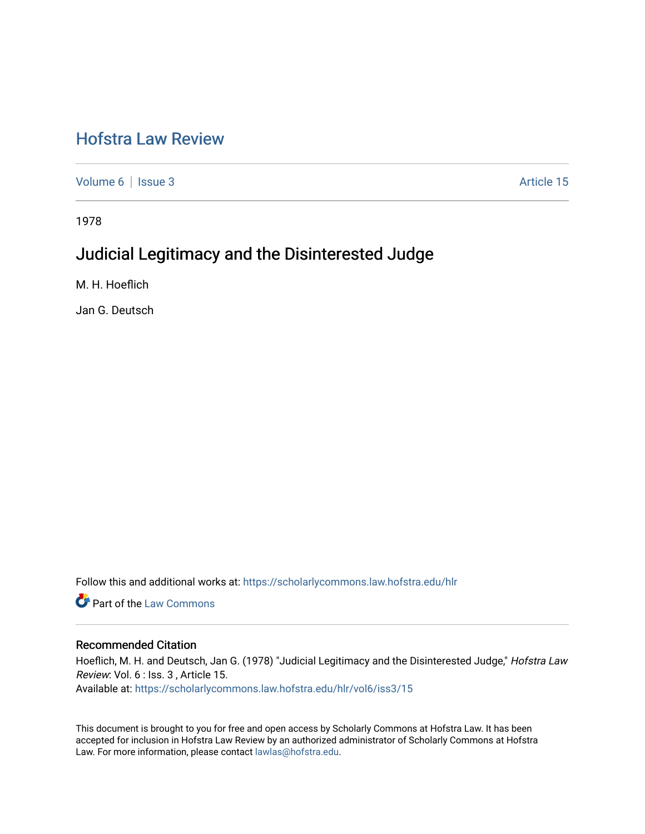# [Hofstra Law Review](https://scholarlycommons.law.hofstra.edu/hlr)

[Volume 6](https://scholarlycommons.law.hofstra.edu/hlr/vol6) | [Issue 3](https://scholarlycommons.law.hofstra.edu/hlr/vol6/iss3) Article 15

1978

# Judicial Legitimacy and the Disinterested Judge

M. H. Hoeflich

Jan G. Deutsch

Follow this and additional works at: [https://scholarlycommons.law.hofstra.edu/hlr](https://scholarlycommons.law.hofstra.edu/hlr?utm_source=scholarlycommons.law.hofstra.edu%2Fhlr%2Fvol6%2Fiss3%2F15&utm_medium=PDF&utm_campaign=PDFCoverPages)

**C** Part of the [Law Commons](http://network.bepress.com/hgg/discipline/578?utm_source=scholarlycommons.law.hofstra.edu%2Fhlr%2Fvol6%2Fiss3%2F15&utm_medium=PDF&utm_campaign=PDFCoverPages)

## Recommended Citation

Hoeflich, M. H. and Deutsch, Jan G. (1978) "Judicial Legitimacy and the Disinterested Judge," Hofstra Law Review: Vol. 6 : Iss. 3 , Article 15. Available at: [https://scholarlycommons.law.hofstra.edu/hlr/vol6/iss3/15](https://scholarlycommons.law.hofstra.edu/hlr/vol6/iss3/15?utm_source=scholarlycommons.law.hofstra.edu%2Fhlr%2Fvol6%2Fiss3%2F15&utm_medium=PDF&utm_campaign=PDFCoverPages)

This document is brought to you for free and open access by Scholarly Commons at Hofstra Law. It has been accepted for inclusion in Hofstra Law Review by an authorized administrator of Scholarly Commons at Hofstra Law. For more information, please contact [lawlas@hofstra.edu.](mailto:lawlas@hofstra.edu)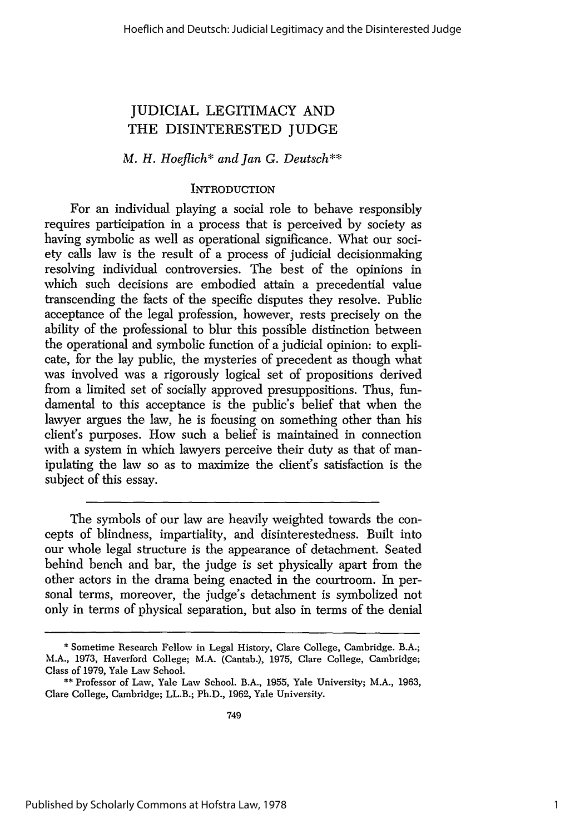# JUDICIAL LEGITIMACY AND THE DISINTERESTED JUDGE

# *M. H. Hoeflich\* and Jan G. Deutsch\*\**

## **INTRODUCTION**

For an individual playing a social role to behave responsibly requires participation in a process that is perceived by society as having symbolic as well as operational significance. What our society calls law is the result of a process of judicial decisionmaking resolving individual controversies. The best of the opinions in which such decisions are embodied attain a precedential value transcending the facts of the specific disputes they resolve. Public acceptance of the legal profession, however, rests precisely on the ability of the professional to blur this possible distinction between the operational and symbolic function of a judicial opinion: to explicate, for the lay public, the mysteries of precedent as though what was involved was a rigorously logical set of propositions derived from a limited set of socially approved presuppositions. Thus, fundamental to this acceptance is the public's belief that when the lawyer argues the law, he is focusing on something other than his client's purposes. How such a belief is maintained in connection with a system in which lawyers perceive their duty as that of manipulating the law so as to maximize the client's satisfaction is the subject of this essay.

The symbols of our law are heavily weighted towards the concepts of blindness, impartiality, and disinterestedness. Built into our whole legal structure is the appearance of detachment. Seated behind bench and bar, the judge is set physically apart from the other actors in the drama being enacted in the courtroom. In personal terms, moreover, the judge's detachment is symbolized not only in terms of physical separation, but also in terms of the denial

<sup>\*</sup> Sometime Research Fellow in Legal History, Clare College, Cambridge. B.A.; M.A., 1973, Haverford College; M.A. (Cantab.), 1975, Clare College, Cambridge; Class of 1979, Yale Law School.

<sup>\*\*</sup> Professor of Law, Yale Law School. B.A., 1955, Yale University; M.A., 1963, Clare College, Cambridge; LL.B.; Ph.D., 1962, Yale University.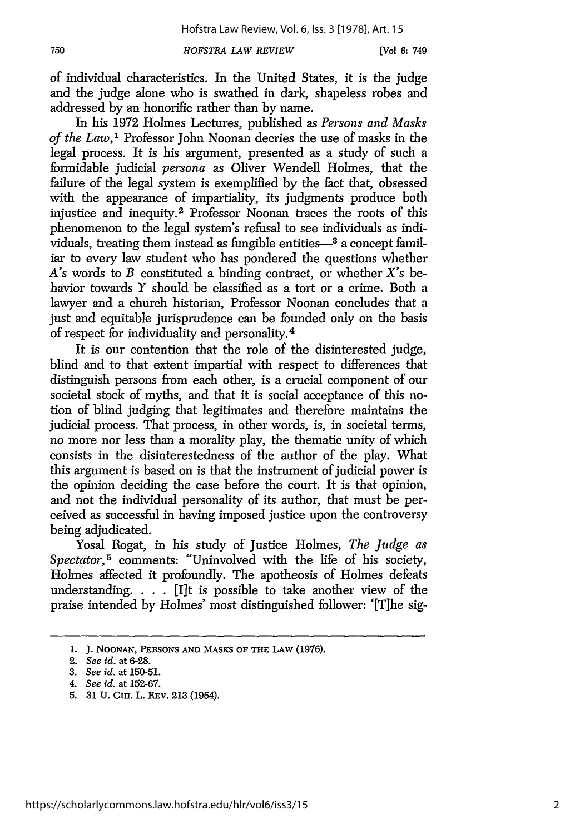*HOFSTRA LAW REVIEW*

of individual characteristics. In the United States, it is the judge and the judge alone who is swathed in dark, shapeless robes and addressed by an honorific rather than by name.

In his 1972 Holmes Lectures, published as *Persons and Masks of the Law,'* Professor John Noonan decries the use of masks in the legal process. It is his argument, presented as a study of such a fonnidable judicial *persona* as Oliver Wendell Holmes, that the failure of the legal system is exemplified by the fact that, obsessed with the appearance of impartiality, its judgments produce both injustice and inequity.2 Professor Noonan traces the roots of this phenomenon to the legal system's refusal to see individuals as individuals, treating them instead as fungible entities—<sup>3</sup> a concept familiar to every law student who has pondered the questions whether A's words to *B* constituted a binding contract, or whether X's behavior towards *Y* should be classified as a tort or a crime. Both a lawyer and a church historian, Professor Noonan concludes that a just and equitable jurisprudence can be founded only on the basis of respect for individuality and personality.<sup>4</sup>

It is our contention that the role of the disinterested judge, blind and to that extent impartial with respect to differences that distinguish persons from each other, is a crucial component of our societal stock of myths, and that it is social acceptance of this notion of blind judging that legitimates and therefore maintains the judicial process. That process, in other words, is, in societal terms, no more nor less than a morality play, the thematic unity of which consists in the disinterestedness of the author of the play. What this argument is based on is that the instrument of judicial power is the opinion deciding the case before the court. It is that opinion, and not the individual personality of its author, that must be perceived as successful in having imposed justice upon the controversy being adjudicated.

Yosal Rogat, in his study of Justice Holmes, *The Judge as Spectator,5* comments: "Uninvolved with the life of his society, Holmes affected it profoundly. The apotheosis of Holmes defeats understanding. . . . [I]t is possible to take another view of the praise intended by Holmes' most distinguished follower: '[The sig-

**<sup>1.</sup> J.** NOONAN, **PERSONS AND MASKS** OF **THE LAW** (1976).

<sup>2.</sup> *See id.* at 6-28.

<sup>3.</sup> *See id.* at 150-51.

*<sup>4.</sup> See id.* at 152-67.

<sup>5. 31</sup> U. CHI. L. REV. 213 (1964).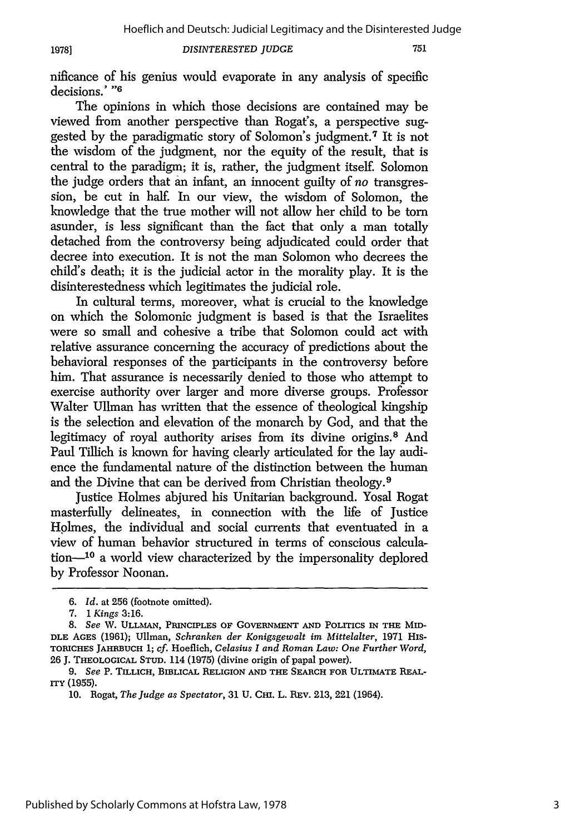**1978]**

#### *DISINTERESTED JUDGE*

751

nificance of his genius would evaporate in any analysis of specific decisions.' **"6**

The opinions in which those decisions are contained may be viewed from another perspective than Rogat's, a perspective suggested by the paradigmatic story of Solomon's judgment. 7 It is not the wisdom of the judgment, nor the equity of the result, that is central to the paradigm; it is, rather, the judgment itself. Solomon the judge orders that an infant, an innocent guilty of *no* transgression, be cut in half. In our view, the wisdom of Solomon, the knowledge that the true mother will not allow her child to be torn asunder, is less significant than the fact that only a man totally detached from the controversy being adjudicated could order that decree into execution. It is not the man Solomon who decrees the child's death; it is the judicial actor in the morality play. It is the disinterestedness which legitimates the judicial role.

In cultural terms, moreover, what is crucial to the knowledge on which the Solomonic judgment is based is that the Israelites were so small and cohesive a tribe that Solomon could act with relative assurance concerning the accuracy of predictions about the behavioral responses of the participants in the controversy before him. That assurance is necessarily denied to those who attempt to exercise authority over larger and more diverse groups. Professor Walter Ullman has written that the essence of theological kingship is the selection and elevation of the monarch by God, and that the legitimacy of royal authority arises from its divine origins. 8 And Paul Tillich is known for having clearly articulated for the lay audience the fundamental nature of the distinction between the human and the Divine that can be derived from Christian theology. <sup>9</sup>

Justice Holmes abjured his Unitarian background. Yosal Rogat masterfully delineates, in connection with the life of Justice Holmes, the individual and social currents that eventuated in a view of human behavior structured in terms of conscious calculation-<sup>10</sup> a world view characterized by the impersonality deplored by Professor Noonan.

*<sup>6.</sup> Id.* at 256 (footnote omitted).

*<sup>7.</sup>* 1 *Kings* 3:16.

**<sup>8.</sup>** *See* W. **ULLMAN, PRINCIPLES** OF **GOVERNMENT AND** POLITICS **IN** THE **Mm-DLE AGES** (1961); Ullman, *Schranken der Konigsgewalt im Mittelalter,* 1971 His-**TORICHES JAHRBUCH** 1; *cf.* Hoeflich, *Celasius I and Roman Law: One Further Word,* 26 J. **THEOLOGICAL STUD.** 114 (1975) (divine origin of papal power).

**<sup>9.</sup>** *See* P. TILLICH, **BIBLICAL** RELIGION **AND THE SEARCH FOR** ULTIMATE **REALrry (1955).**

<sup>10.</sup> Rogat, *The Judge as Spectator,* 31 **U. CHI.** L. REv. 213, 221 (1964).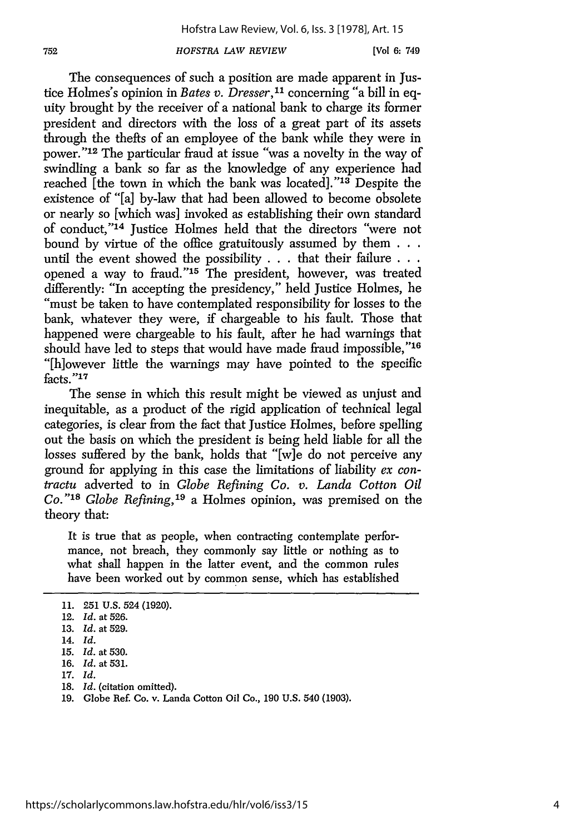#### *HOFSTRA LAW REVIEW*

The consequences of such a position are made apparent in Justice Holmes's opinion in *Bates v. Dresser,11* concerning "a bill in equity brought by the receiver of a national bank to charge its former president and directors with the loss of a great part of its assets through the thefts of an employee of the bank while they were in power."<sup>12</sup> The particular fraud at issue "was a novelty in the way of swindling a bank so far as the knowledge of any experience had reached [the town in which the bank was located]."<sup>13</sup> Despite the existence of "[a] by-law that had been allowed to become obsolete or nearly so [which was] invoked as establishing their own standard of conduct,"'14 Justice Holmes held that the directors "were not bound by virtue of the office gratuitously assumed by them **. . .** until the event showed the possibility . . . that their failure **. . .** opened a way to fraud." $15$  The president, however, was treated differently: "In accepting the presidency," held Justice Holmes, he "must be taken to have contemplated responsibility for losses to the bank, whatever they were, if chargeable to his fault. Those that happened were chargeable to his fault, after he had warnings that should have led to steps that would have made fraud impossible,"16 "[h]owever little the warnings may have pointed to the specific facts."17

The sense in which this result might be viewed as unjust and inequitable, as a product of the rigid application of technical legal categories, is clear from the fact that Justice Holmes, before spelling out the basis on which the president is being held liable for all the losses suffered by the bank, holds that "[w]e do not perceive any ground for applying in this case the limitations of liability *ex contractu* adverted to in *Globe Refining Co. v. Landa Cotton Oil Co." <sup>s</sup> 18 Globe Refining,' <sup>9</sup>*a Holmes opinion, was premised on the theory that:

It is true that as people, when contracting contemplate performance, not breach, they commonly say little or nothing as to what shall happen in the latter event, and the common rules have been worked out by common sense, which has established

<sup>11. 251</sup> U.S. 524 (1920).

<sup>12.</sup> *Id.* at 526.

<sup>13.</sup> *Id.* at 529.

<sup>14.</sup> *Id.*

<sup>15.</sup> *Id.* at 530.

<sup>16.</sup> *Id.* at 531.

<sup>17.</sup> *Id.*

**<sup>18.</sup>** *Id.* (citation omitted).

<sup>19.</sup> Globe Ref Co. v. Landa Cotton Oil Co., 190 U.S. 540 (1903).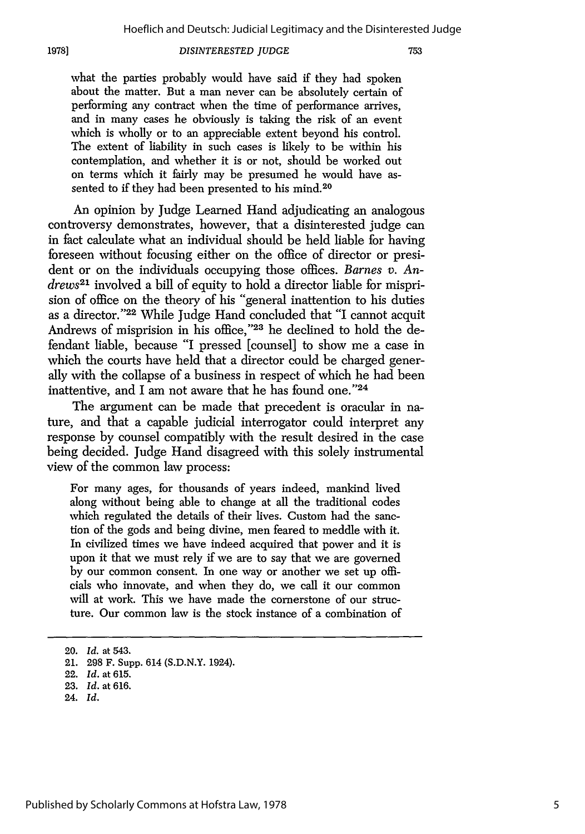**1978]**

#### *DISINTERESTED JUDGE*

what the parties probably would have said if they had spoken about the matter. But a man never can be absolutely certain of performing any contract when the time of performance arrives, and in many cases he obviously is taking the risk of an event which is wholly or to an appreciable extent beyond his control. The extent of liability in such cases is likely to be within his contemplation, and whether it is or not, should be worked out on terms which it fairly may be presumed he would have assented to if they had been presented to his mind.<sup>20</sup>

An opinion by Judge Learned Hand adjudicating an analogous controversy demonstrates, however, that a disinterested judge can in fact calculate what an individual should be held liable for having foreseen without focusing either on the office of director or president or on the individuals occupying those offices. *Barnes v. Andrews*<sup>21</sup> involved a bill of equity to hold a director liable for misprision of office on the theory of his "general inattention to his duties as a director."<sup>22</sup> While Judge Hand concluded that "I cannot acquit Andrews of misprision in his office,"23 he declined to hold the defendant liable, because "I pressed [counsel] to show me a case in which the courts have held that a director could be charged generally with the collapse of a business in respect of which he had been inattentive, and I am not aware that he has found one." $24$ 

The argument can be made that precedent is oracular in nature, and that a capable judicial interrogator could interpret any response by counsel compatibly with the result desired in the case being decided. Judge Hand disagreed with this solely instrumental view of the common law process:

For many ages, for thousands of years indeed, mankind lived along without being able to change at all the traditional codes which regulated the details of their lives. Custom had the sanction of the gods and being divine, men feared to meddle with it. In civilized times we have indeed acquired that power and it is upon it that we must rely if we are to say that we are governed by our common consent. In one way or another we set up officials who innovate, and when they do, we call it our common will at work. This we have made the cornerstone of our structure. Our common law is the stock instance of a combination of

24. *Id.*

<sup>20.</sup> *Id.* at 543.

<sup>21. 298</sup> F. Supp. 614 (S.D.N.Y. 1924).

<sup>22.</sup> *Id.* at 615.

<sup>23.</sup> *Id.* at 616.